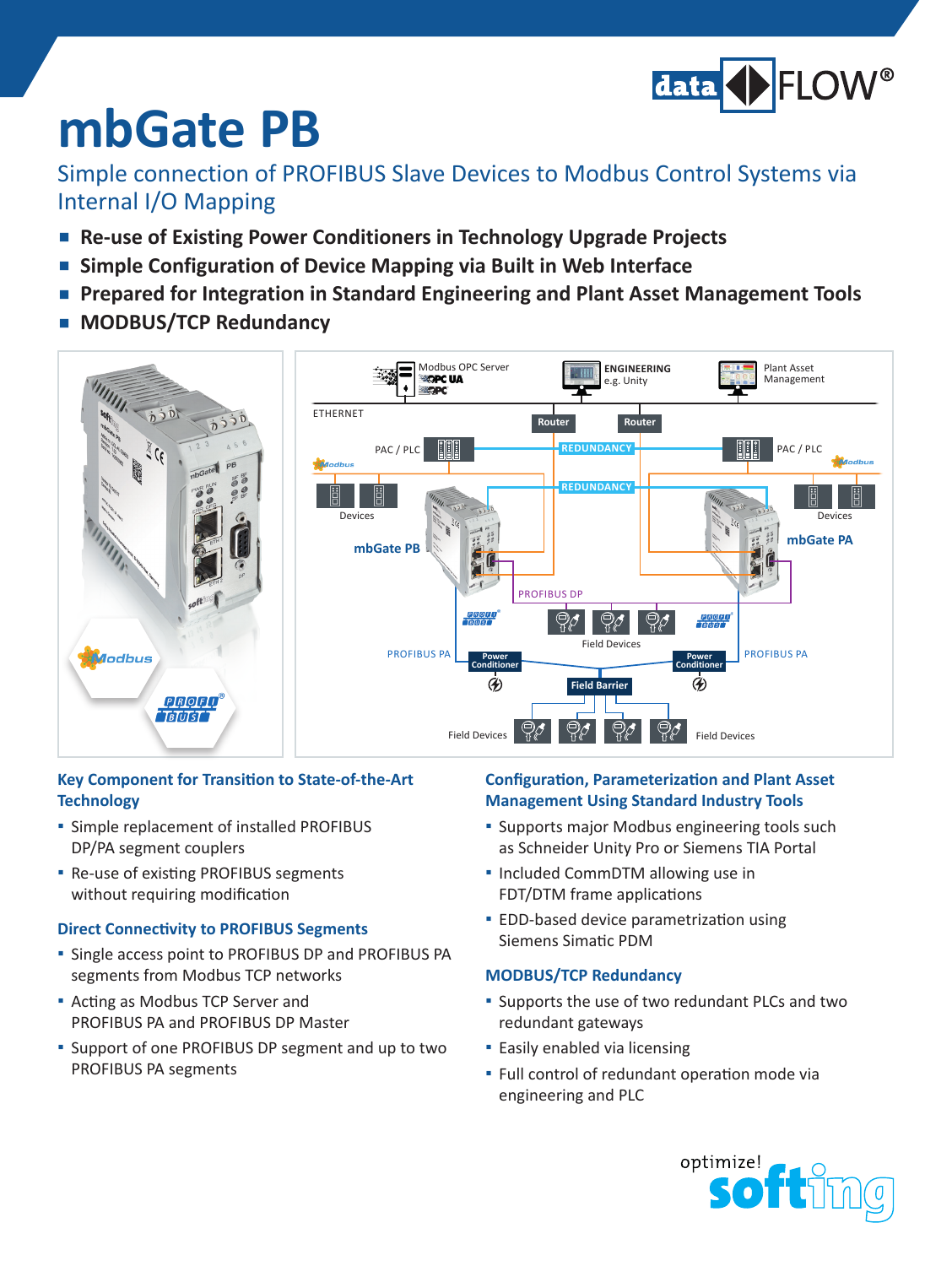

# **mbGate PB**

### Simple connection of PROFIBUS Slave Devices to Modbus Control Systems via Internal I/O Mapping

- **Re-use of Existing Power Conditioners in Technology Upgrade Projects**
- **Simple Configuration of Device Mapping via Built in Web Interface**
- **Prepared for Integration in Standard Engineering and Plant Asset Management Tools**
- **▪ MODBUS/TCP Redundancy**



#### **Key Component for Transition to State-of-the-Art Technology**

- **▪**  Simple replacement of installed PROFIBUS DP/PA segment couplers
- **▪** Re-use of existing PROFIBUS segments without requiring modification

#### **Direct Connectivity to PROFIBUS Segments**

- **▪**  Single access point to PROFIBUS DP and PROFIBUS PA segments from Modbus TCP networks
- **▪**  Acting as Modbus TCP Server and PROFIBUS PA and PROFIBUS DP Master
- **▪**  Support of one PROFIBUS DP segment and up to two PROFIBUS PA segments

#### **Configuration, Parameterization and Plant Asset Management Using Standard Industry Tools**

- **▪** Supports major Modbus engineering tools such as Schneider Unity Pro or Siemens TIA Portal
- **▪**  Included CommDTM allowing use in FDT/DTM frame applications
- **▪** EDD-based device parametrization using Siemens Simatic PDM

#### **MODBUS/TCP Redundancy**

- Supports the use of two redundant PLCs and two redundant gateways
- **▪**  Easily enabled via licensing
- **▪** Full control of redundant operation mode via engineering and PLC